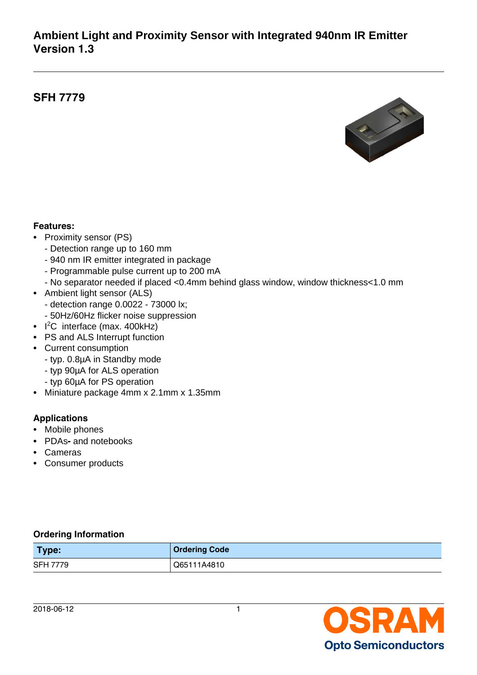# **Ambient Light and Proximity Sensor with Integrated 940nm IR Emitter Version 1.3**

# **SFH 7779**



#### **Features:**

- Proximity sensor (PS)
	- Detection range up to 160 mm
	- 940 nm IR emitter integrated in package
	- Programmable pulse current up to 200 mA
	- No separator needed if placed <0.4mm behind glass window, window thickness<1.0 mm
- Ambient light sensor (ALS) - detection range 0.0022 - 73000 lx; - 50Hz/60Hz flicker noise suppression
- $\cdot$  I<sup>2</sup>C interface (max. 400kHz)
- PS and ALS Interrupt function
- Current consumption
	- typ. 0.8µA in Standby mode
	- typ 90µA for ALS operation
	- typ 60µA for PS operation
- Miniature package 4mm x 2.1mm x 1.35mm

### **Applications**

- Mobile phones
- PDAs**-** and notebooks
- Cameras
- Consumer products

#### **Ordering Information**

| Type:           | <b>Ordering Code</b> |
|-----------------|----------------------|
| <b>SFH 7779</b> | Q65111A4810          |

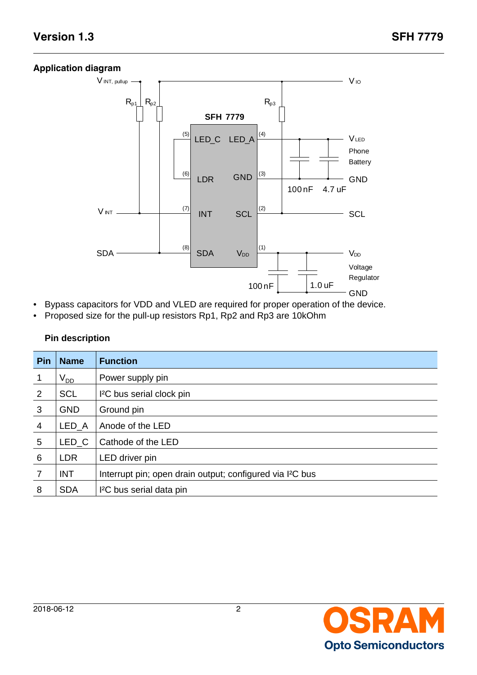#### **Application diagram**



- Bypass capacitors for VDD and VLED are required for proper operation of the device.
- Proposed size for the pull-up resistors Rp1, Rp2 and Rp3 are 10kOhm

### **Pin description**

| Pin            | <b>Name</b>      | <b>Function</b>                                                       |
|----------------|------------------|-----------------------------------------------------------------------|
|                | $\rm V_{DD}$     | Power supply pin                                                      |
| $\overline{2}$ | <b>SCL</b>       | I <sup>2</sup> C bus serial clock pin                                 |
| $\mathbf{3}$   | <b>GND</b>       | Ground pin                                                            |
| $\overline{4}$ | LED_A            | Anode of the LED                                                      |
| 5              | LED <sub>C</sub> | Cathode of the LED                                                    |
| 6              | <b>LDR</b>       | LED driver pin                                                        |
| $\overline{7}$ | <b>INT</b>       | Interrupt pin; open drain output; configured via I <sup>2</sup> C bus |
| 8              | <b>SDA</b>       | I <sup>2</sup> C bus serial data pin                                  |

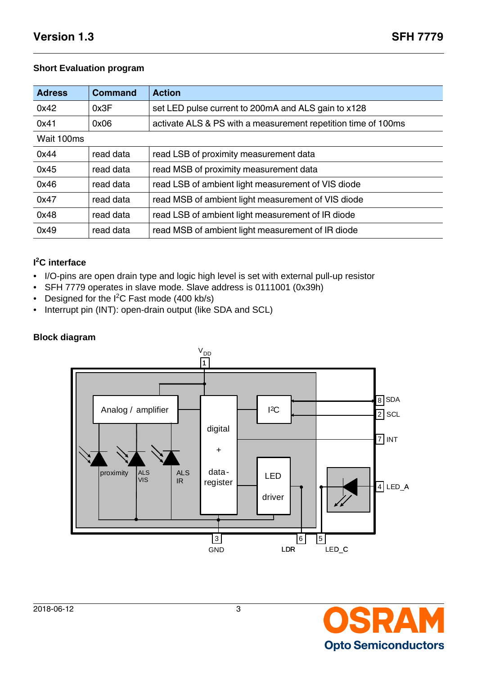#### **Short Evaluation program**

| <b>Adress</b> | <b>Command</b> | <b>Action</b>                                                 |
|---------------|----------------|---------------------------------------------------------------|
| 0x42          | 0x3F           | set LED pulse current to 200mA and ALS gain to x128           |
| 0x41          | 0x06           | activate ALS & PS with a measurement repetition time of 100ms |
| Wait 100ms    |                |                                                               |
| 0x44          | read data      | read LSB of proximity measurement data                        |
| 0x45          | read data      | read MSB of proximity measurement data                        |
| 0x46          | read data      | read LSB of ambient light measurement of VIS diode            |
| 0x47          | read data      | read MSB of ambient light measurement of VIS diode            |
| 0x48          | read data      | read LSB of ambient light measurement of IR diode             |
| 0x49          | read data      | read MSB of ambient light measurement of IR diode             |

#### **I <sup>2</sup>C interface**

- I/O-pins are open drain type and logic high level is set with external pull-up resistor
- SFH 7779 operates in slave mode. Slave address is 0111001 (0x39h)
- Designed for the I<sup>2</sup>C Fast mode (400 kb/s)
- Interrupt pin (INT): open-drain output (like SDA and SCL)

#### **Block diagram**



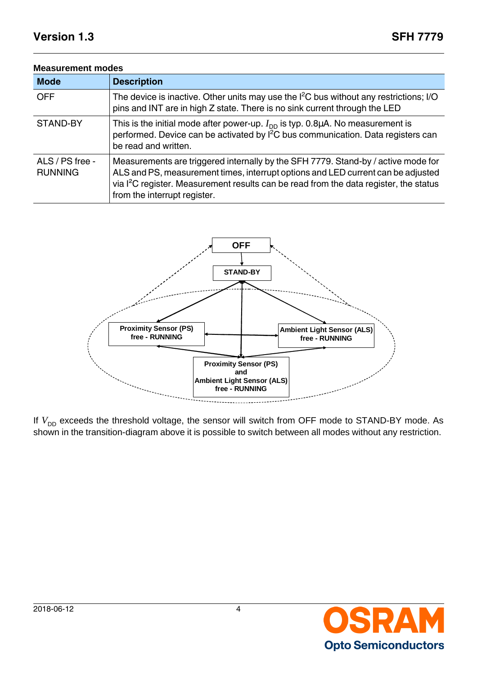| <b>Mode</b>                       | <b>Description</b>                                                                                                                                                                                                                                                                                         |
|-----------------------------------|------------------------------------------------------------------------------------------------------------------------------------------------------------------------------------------------------------------------------------------------------------------------------------------------------------|
| <b>OFF</b>                        | The device is inactive. Other units may use the $I^2C$ bus without any restrictions; I/O<br>pins and INT are in high Z state. There is no sink current through the LED                                                                                                                                     |
| STAND-BY                          | This is the initial mode after power-up. $I_{DD}$ is typ. 0.8 $\mu$ A. No measurement is<br>performed. Device can be activated by I <sup>2</sup> C bus communication. Data registers can<br>be read and written.                                                                                           |
| ALS / PS free -<br><b>RUNNING</b> | Measurements are triggered internally by the SFH 7779. Stand-by / active mode for<br>ALS and PS, measurement times, interrupt options and LED current can be adjusted<br>via I <sup>2</sup> C register. Measurement results can be read from the data register, the status<br>from the interrupt register. |





If  $V_{DD}$  exceeds the threshold voltage, the sensor will switch from OFF mode to STAND-BY mode. As shown in the transition-diagram above it is possible to switch between all modes without any restriction.

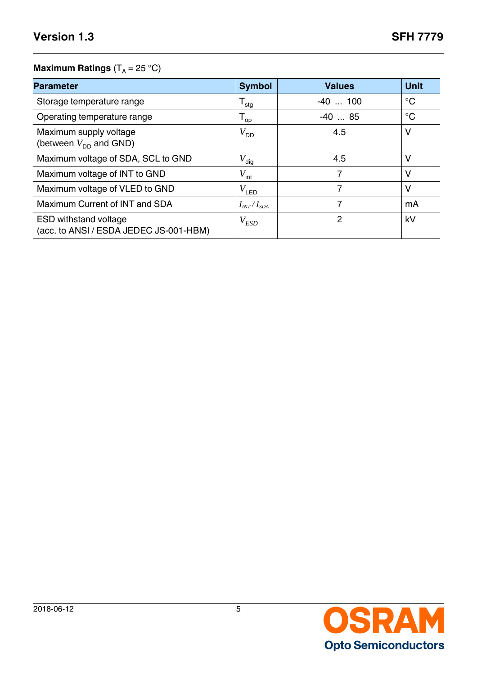### **Maximum Ratings**  $(T_A = 25 \degree C)$

| <b>Parameter</b>                                                       | <b>Symbol</b>       | <b>Values</b> | <b>Unit</b> |
|------------------------------------------------------------------------|---------------------|---------------|-------------|
| Storage temperature range                                              | ${\sf T}_{\sf stg}$ | $-40$ 100     | $^{\circ}C$ |
| Operating temperature range                                            | $T_{op}$            | $-40$ 85      | $^{\circ}C$ |
| Maximum supply voltage<br>(between $V_{DD}$ and GND)                   | $V_{DD}$            | 4.5           | V           |
| Maximum voltage of SDA, SCL to GND                                     | $V_{\text{dig}}$    | 4.5           | v           |
| Maximum voltage of INT to GND                                          | $V_{\text{int}}$    |               | ٧           |
| Maximum voltage of VLED to GND                                         | $V_{\mathsf{LED}}$  |               | V           |
| Maximum Current of INT and SDA                                         | $I_{INT}/I_{SDA}$   |               | mA          |
| <b>ESD withstand voltage</b><br>(acc. to ANSI / ESDA JEDEC JS-001-HBM) | $V_{ESD}$           | 2             | kV          |

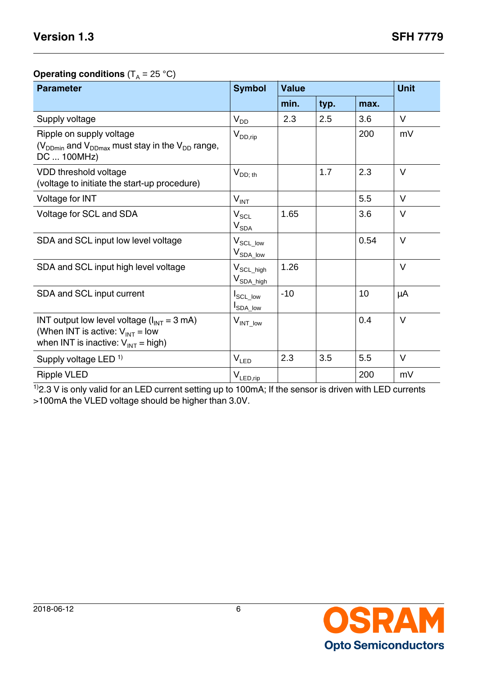### **Operating conditions**  $(T_A = 25 \text{ }^{\circ}\text{C})$

| <b>Parameter</b>                                                                                                                           | <b>Symbol</b>                            | <b>Value</b> | <b>Unit</b> |      |        |
|--------------------------------------------------------------------------------------------------------------------------------------------|------------------------------------------|--------------|-------------|------|--------|
|                                                                                                                                            |                                          | min.         | typ.        | max. |        |
| Supply voltage                                                                                                                             | $V_{DD}$                                 | 2.3          | 2.5         | 3.6  | $\vee$ |
| Ripple on supply voltage<br>$(V_{DDmin}$ and $V_{DDmax}$ must stay in the $V_{DD}$ range,<br>DC  100MHz)                                   | $V_{DD,rip}$                             |              |             | 200  | mV     |
| VDD threshold voltage<br>(voltage to initiate the start-up procedure)                                                                      | $V_{DD; th}$                             |              | 1.7         | 2.3  | $\vee$ |
| Voltage for INT                                                                                                                            | $V_{INT}$                                |              |             | 5.5  | $\vee$ |
| Voltage for SCL and SDA                                                                                                                    | $V_{SCL}$<br>$V_{SDA}$                   | 1.65         |             | 3.6  | $\vee$ |
| SDA and SCL input low level voltage                                                                                                        | $V_{\rm SCL\_low}$<br>$V_{SDA\_low}$     |              |             | 0.54 | $\vee$ |
| SDA and SCL input high level voltage                                                                                                       | $V_{SCL\_high}$<br>V <sub>SDA_high</sub> | 1.26         |             |      | $\vee$ |
| SDA and SCL input current                                                                                                                  | I <sub>SCL_low</sub><br><b>I</b> SDA_low | $-10$        |             | 10   | μA     |
| INT output low level voltage $(l_{INT} = 3 \text{ mA})$<br>(When INT is active: $V_{INT} = low$<br>when INT is inactive: $V_{INT}$ = high) | $V_{INT\_low}$                           |              |             | 0.4  | $\vee$ |
| Supply voltage LED <sup>1)</sup>                                                                                                           | $V_{LED}$                                | 2.3          | 3.5         | 5.5  | $\vee$ |
| <b>Ripple VLED</b>                                                                                                                         | $V_{LEDrip}$                             |              |             | 200  | mV     |

 $1/2.3$  V is only valid for an LED current setting up to 100mA; If the sensor is driven with LED currents >100mA the VLED voltage should be higher than 3.0V.

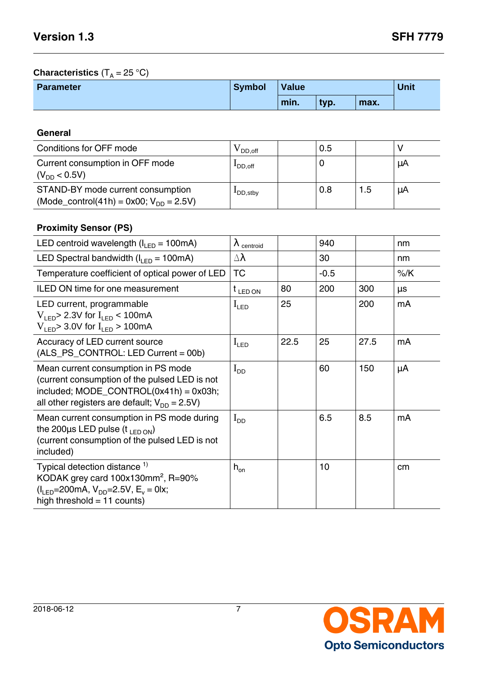### **Characteristics**  $(T_A = 25 \degree C)$

| <b>Parameter</b> | <b>Symbol</b> | Value |      |      | Unit |
|------------------|---------------|-------|------|------|------|
|                  |               | min.  | typ. | max. |      |

### **General**

| Conditions for OFF mode                                                                  | DD off              | 0.5 |     |    |
|------------------------------------------------------------------------------------------|---------------------|-----|-----|----|
| Current consumption in OFF mode<br>$(V_{DD} < 0.5V)$                                     | <sup>1</sup> DD.off |     |     | μA |
| STAND-BY mode current consumption<br>(Mode_control(41h) = 0x00; $V_{\text{DD}} = 2.5V$ ) | LDD, stby           | 0.8 | 1.5 | μA |

### **Proximity Sensor (PS)**

| LED centroid wavelength $(I_{IFD} = 100mA)$                                                                                                                                                                        | $\lambda$ centroid |      | 940             |      | nm     |
|--------------------------------------------------------------------------------------------------------------------------------------------------------------------------------------------------------------------|--------------------|------|-----------------|------|--------|
| LED Spectral bandwidth ( $I_{LED}$ = 100mA)                                                                                                                                                                        | $\Delta \lambda$   |      | 30              |      | nm     |
| Temperature coefficient of optical power of LED                                                                                                                                                                    | <b>TC</b>          |      | $-0.5$          |      | $%$ /K |
| <b>ILED ON time for one measurement</b>                                                                                                                                                                            | $t_{LEDON}$        | 80   | 200             | 300  | μs     |
| LED current, programmable<br>$V_{\text{LFD}}$ 2.3V for $I_{\text{LFD}}$ < 100mA<br>$V_{\text{LED}}$ 3.0V for $I_{\text{LED}}$ > 100mA                                                                              | $I_{LED}$          | 25   |                 | 200  | mA     |
| Accuracy of LED current source<br>(ALS_PS_CONTROL: LED Current = 00b)                                                                                                                                              | $I_{LED}$          | 22.5 | 25              | 27.5 | mA     |
| Mean current consumption in PS mode<br>(current consumption of the pulsed LED is not<br>included; $MODE$ CONTROL(0x41h) = 0x03h;<br>all other registers are default; $V_{DD} = 2.5V$ )                             | $I_{DD}$           |      | 60              | 150  | μA     |
| Mean current consumption in PS mode during<br>the 200 $\mu$ s LED pulse (t $_{LED~ON}$ )<br>(current consumption of the pulsed LED is not<br>included)                                                             | $I_{DD}$           |      | 6.5             | 8.5  | mA     |
| Typical detection distance <sup>1)</sup><br>KODAK grey card $100x130mm^2$ , R=90%<br>$(I_{\text{LED}} = 200 \text{mA}, V_{\text{DD}} = 2.5 \text{V}, E_{\text{v}} = 0 \text{lx};$<br>high threshold $= 11$ counts) | $h_{\text{on}}$    |      | 10 <sup>1</sup> |      | cm     |

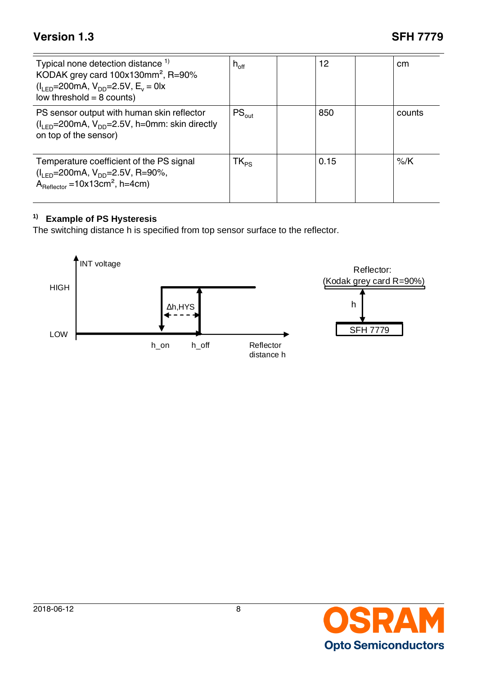| Typical none detection distance <sup>1)</sup><br>KODAK grey card 100x130mm <sup>2</sup> , R=90%<br>$(I_{LED} = 200 \text{mA}, V_{DD} = 2.5 \text{V}, E_v = 0 \text{lx}$<br>low threshold $= 8$ counts) | $h_{\text{off}}$ | 12   | cm     |
|--------------------------------------------------------------------------------------------------------------------------------------------------------------------------------------------------------|------------------|------|--------|
| PS sensor output with human skin reflector<br>$(I_{IFD} = 200 \text{mA}, V_{DD} = 2.5 \text{V}, h = 0 \text{mm}$ : skin directly<br>on top of the sensor)                                              | $PS_{out}$       | 850  | counts |
| Temperature coefficient of the PS signal<br>$(I_{IFD} = 200 \text{mA}, V_{DD} = 2.5 \text{V}, R = 90\%,$<br>$A_{\text{Reflector}} = 10x13 \text{cm}^2$ , h=4cm)                                        | $TK_{PS}$        | 0.15 | $%$ /K |

### **1) Example of PS Hysteresis**

The switching distance h is specified from top sensor surface to the reflector.



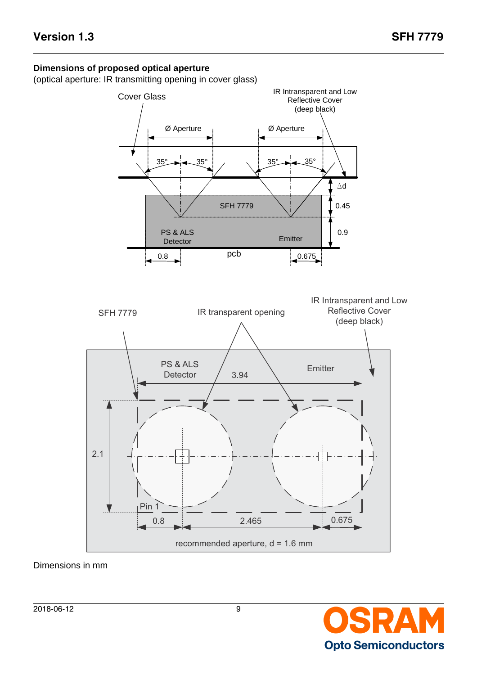#### **Dimensions of proposed optical aperture**

(optical aperture: IR transmitting opening in cover glass)



Dimensions in mm

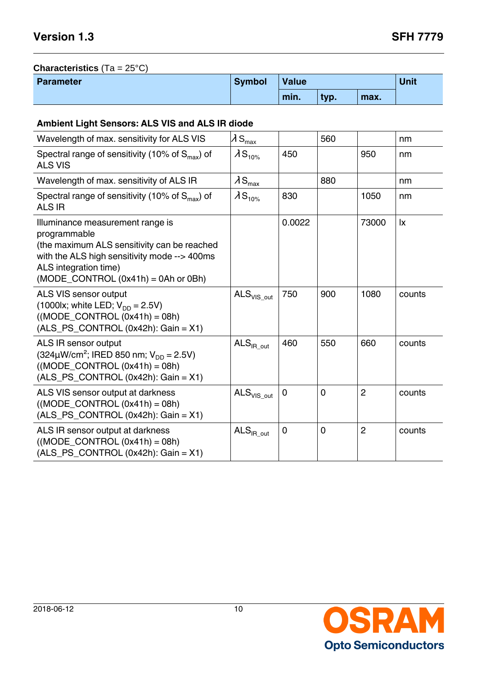# **Characteristics** (Ta = 25°C)

| <b>Parameter</b> | <b>Symbol</b> | <b>Value</b> |      | Unit |  |
|------------------|---------------|--------------|------|------|--|
|                  |               | min.         | typ. | max. |  |

#### **Ambient Light Sensors: ALS VIS and ALS IR diode**

| Wavelength of max. sensitivity for ALS VIS                                                                                                                                                                                       | $\lambda$ S <sub>max</sub>         |                | 560            |                | nm                     |
|----------------------------------------------------------------------------------------------------------------------------------------------------------------------------------------------------------------------------------|------------------------------------|----------------|----------------|----------------|------------------------|
| Spectral range of sensitivity (10% of $S_{\text{max}}$ ) of<br><b>ALS VIS</b>                                                                                                                                                    | $\lambda$ S <sub>10%</sub>         | 450            |                | 950            | nm                     |
| Wavelength of max. sensitivity of ALS IR                                                                                                                                                                                         | $\lambda$ S <sub>max</sub>         |                | 880            |                | nm                     |
| Spectral range of sensitivity (10% of $S_{max}$ ) of<br><b>ALS IR</b>                                                                                                                                                            | $\lambda$ S <sub>10%</sub>         | 830            |                | 1050           | nm                     |
| Illuminance measurement range is<br>programmable<br>(the maximum ALS sensitivity can be reached<br>with the ALS high sensitivity mode --> 400ms<br>ALS integration time)<br>$(MODE$ <sub>_</sub> CONTROL $(0x41h)$ = 0Ah or 0Bh) |                                    | 0.0022         |                | 73000          | $\mathsf{I}\mathsf{x}$ |
| ALS VIS sensor output<br>(1000lx; white LED; $V_{DD} = 2.5V$ )<br>$((MODE\_CONTROL (0x41h) = 08h))$<br>$(ALS_PS_CONTROL (0x42h): Gain = X1)$                                                                                     | $\mathsf{ALS}_{\mathsf{VIS\_out}}$ | 750            | 900            | 1080           | counts                 |
| ALS IR sensor output<br>$(324 \mu W/cm^2$ ; IRED 850 nm; $V_{DD} = 2.5V$ )<br>$((MODE$ CONTROL $(0x41h) = 08h)$<br>$(ALS_PS_CONTROL (0x42h): Gain = X1)$                                                                         | $\mathsf{ALS}_{\mathsf{IR\_out}}$  | 460            | 550            | 660            | counts                 |
| ALS VIS sensor output at darkness<br>$((MODE\_CONTROL (0x41h) = 08h)$<br>$(ALS_PS_CONTROL (0x42h): Gain = X1)$                                                                                                                   | $\texttt{ALS}_\textsf{VIS\_out}$   | $\overline{0}$ | $\overline{0}$ | $\overline{2}$ | counts                 |
| ALS IR sensor output at darkness<br>$((MODE\_CONTROL (0x41h) = 08h)$<br>$(ALS_P S_CONTROL (0x42h): Gain = X1)$                                                                                                                   | $\mathsf{ALS}_{\mathsf{IR\_out}}$  | $\mathbf 0$    | $\overline{0}$ | $\overline{c}$ | counts                 |

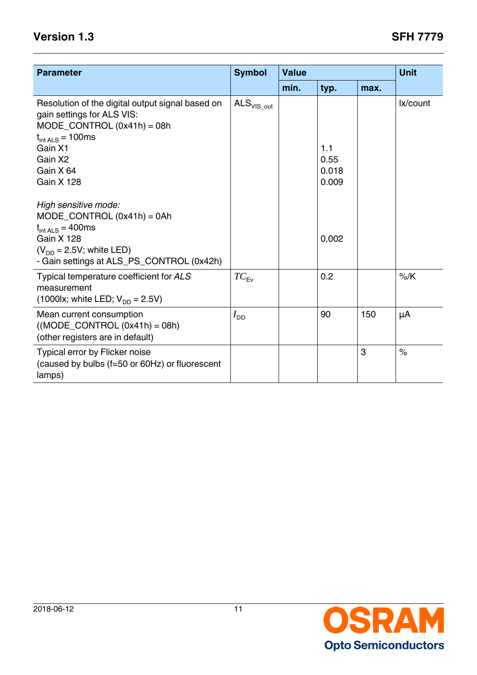| <b>Parameter</b>                                                                                                                                                             | <b>Symbol</b>                      | <b>Value</b> |                      |      | <b>Unit</b>   |
|------------------------------------------------------------------------------------------------------------------------------------------------------------------------------|------------------------------------|--------------|----------------------|------|---------------|
|                                                                                                                                                                              |                                    | min.         | typ.                 | max. |               |
| Resolution of the digital output signal based on<br>gain settings for ALS VIS:<br>$MODE\_CONTROL (0x41h) = 08h$<br>$t_{int ALS} = 100$ ms<br>Gain X1<br>Gain X2<br>Gain X 64 | $\mathsf{ALS}_{\mathsf{VIS\_out}}$ |              | 1.1<br>0.55<br>0.018 |      | lx/count      |
| <b>Gain X 128</b><br>High sensitive mode:                                                                                                                                    |                                    |              | 0.009                |      |               |
| $MODE$ _CONTROL (0x41h) = 0Ah<br>$t_{int ALS} = 400$ ms<br><b>Gain X 128</b><br>$(V_{DD} = 2.5V;$ white LED)<br>- Gain settings at ALS_PS_CONTROL (0x42h)                    |                                    |              | 0.002                |      |               |
| Typical temperature coefficient for ALS<br>measurement<br>(1000lx; white LED; $V_{DD} = 2.5V$ )                                                                              | $TC_{Fv}$                          |              | 0.2                  |      | $%$ /K        |
| Mean current consumption<br>$((MODE\_CONTROL (0x41h) = 08h)$<br>(other registers are in default)                                                                             | $I_{\mathsf{DD}}$                  |              | 90                   | 150  | μA            |
| Typical error by Flicker noise<br>(caused by bulbs (f=50 or 60Hz) or fluorescent<br>lamps)                                                                                   |                                    |              |                      | 3    | $\frac{1}{2}$ |

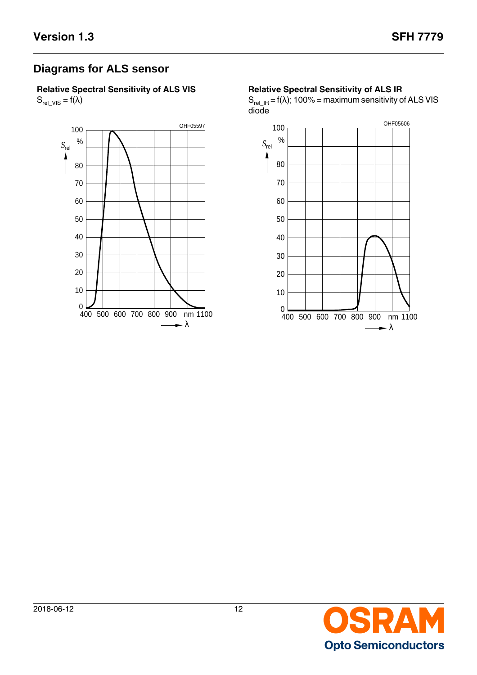# **Diagrams for ALS sensor**

**Relative Spectral Sensitivity of ALS VIS**  $S_{rel\_VIS} = f(\lambda)$ 



#### **Relative Spectral Sensitivity of ALS IR**

 $S_{rel\_IR} = f(\lambda)$ ; 100% = maximum sensitivity of ALS VIS diode



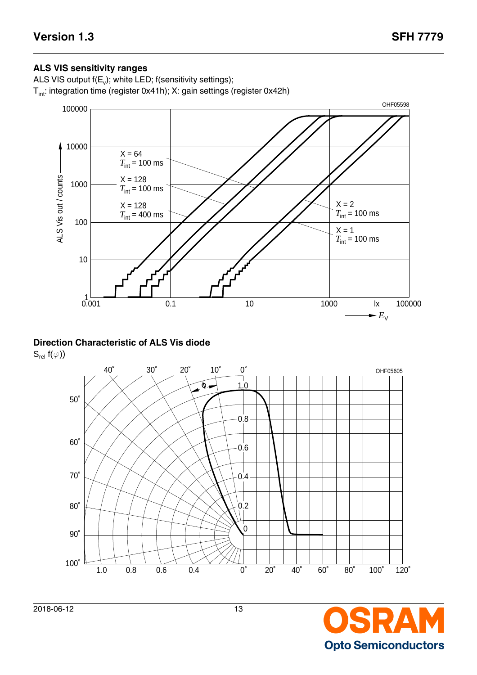#### **ALS VIS sensitivity ranges**

ALS VIS output f(E<sub>v</sub>); white LED; f(sensitivity settings);  $T_{int}$ : integration time (register 0x41h); X: gain settings (register 0x42h)



### **Direction Characteristic of ALS Vis diode**

 $S_{rel} f(\varphi)$ 



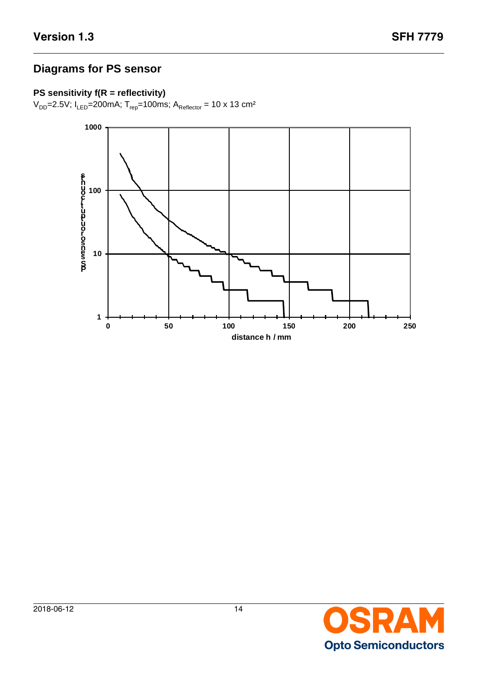# **Diagrams for PS sensor**

## **PS sensitivity f(R = reflectivity)**

 $V_{DD}$ =2.5V; I<sub>LED</sub>=200mA; T<sub>rep</sub>=100ms; A<sub>Reflector</sub> = 10 x 13 cm<sup>2</sup>

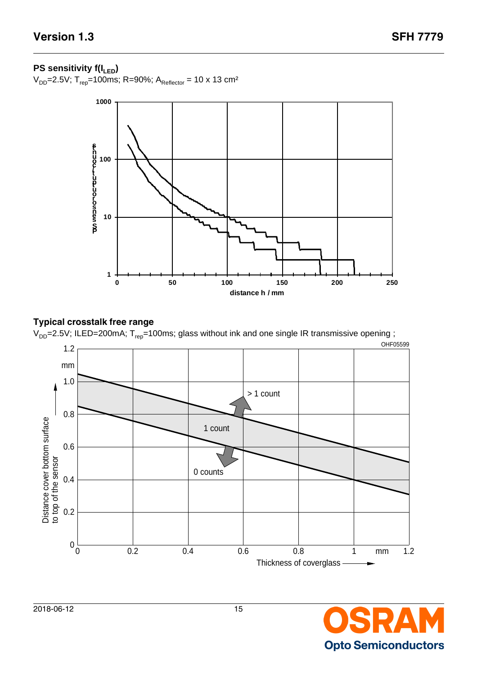### **PS sensitivity f(I<sub>LED</sub>)**

 $V_{DD}$ =2.5V; T<sub>rep</sub>=100ms; R=90%; A<sub>Reflector</sub> = 10 x 13 cm<sup>2</sup>



### **Typical crosstalk free range**





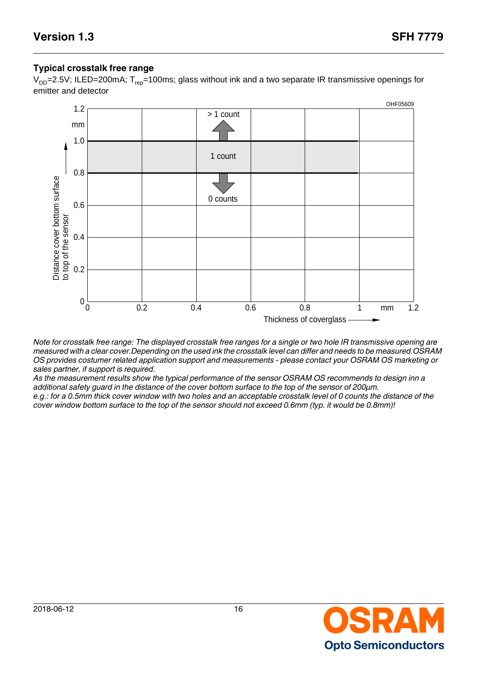#### **Typical crosstalk free range**

 $V_{DD}$ =2.5V; ILED=200mA; T<sub>rep</sub>=100ms; glass without ink and a two separate IR transmissive openings for emitter and detector



*Note for crosstalk free range: The displayed crosstalk free ranges for a single or two hole IR transmissive opening are measured with a clear cover.Depending on the used ink the crosstalk level can differ and needs to be measured.OSRAM OS provides costumer related application support and measurements - please contact your OSRAM OS marketing or sales partner, if support is required.*

*As the measurement results show the typical performance of the sensor OSRAM OS recommends to design inn a additional safety guard in the distance of the cover bottom surface to the top of the sensor of 200µm.* 

*e.g.: for a 0.5mm thick cover window with two holes and an acceptable crosstalk level of 0 counts the distance of the* 

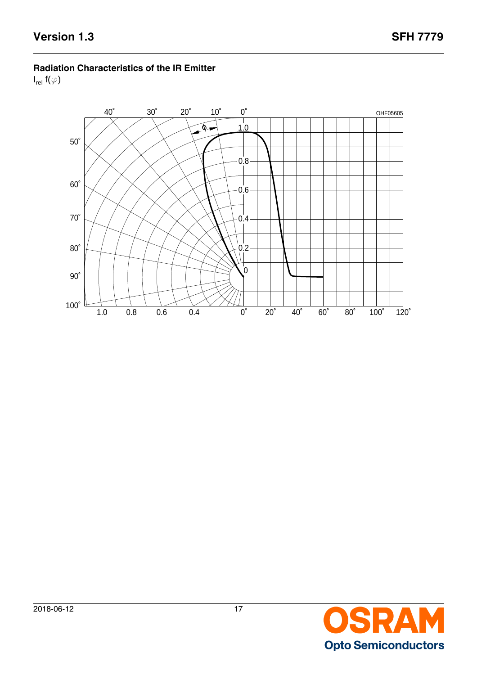#### **Radiation Characteristics of the IR Emitter**

 $I_{rel}$  f( $\varphi$ )



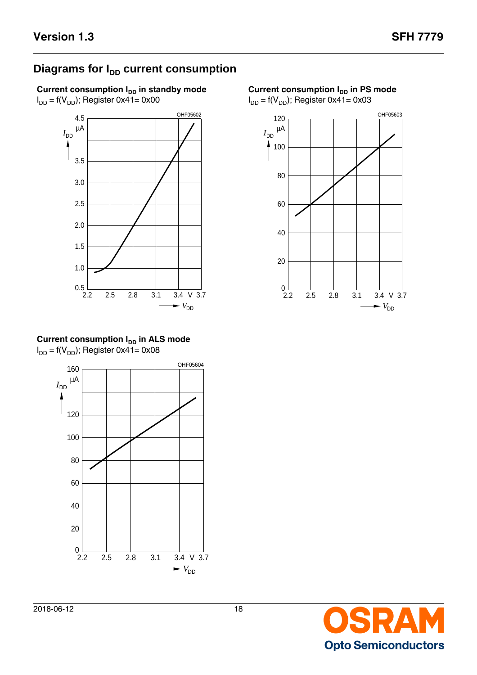# **Diagrams for I<sub>DD</sub> current consumption**

**Current consumption I<sub>DD</sub>** in standby mode  $I_{DD}$  = f(V<sub>DD</sub>); Register 0x41= 0x00



**Current consumption**  $I_{DD}$  **in PS mode** 

 $I_{DD}$  = f(V<sub>DD</sub>); Register 0x41= 0x03



**Current consumption I<sub>DD</sub> in ALS mode**  $I_{DD} = f(V_{DD})$ ; Register 0x41= 0x08



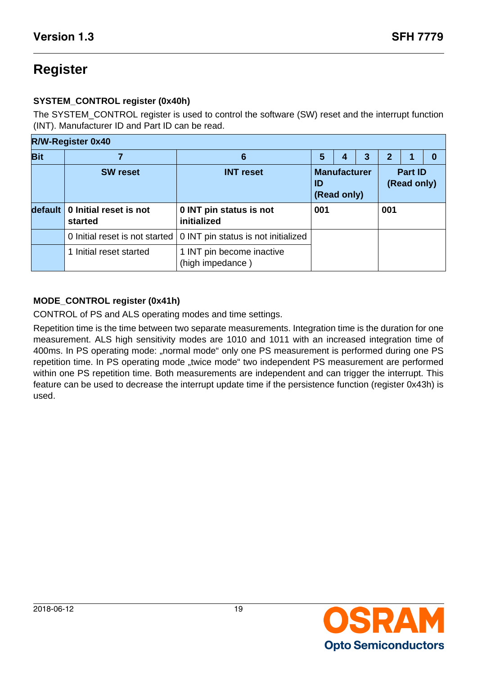# **Register**

### **SYSTEM\_CONTROL register (0x40h)**

The SYSTEM\_CONTROL register is used to control the software (SW) reset and the interrupt function (INT). Manufacturer ID and Part ID can be read.

|            | <b>R/W-Register 0x40</b>          |                                               |     |                                    |   |              |                               |   |  |
|------------|-----------------------------------|-----------------------------------------------|-----|------------------------------------|---|--------------|-------------------------------|---|--|
| <b>Bit</b> |                                   | 6                                             | 5   | 4                                  | 3 | $\mathbf{2}$ |                               | 0 |  |
|            | <b>SW</b> reset                   | <b>INT</b> reset                              | ID  | <b>Manufacturer</b><br>(Read only) |   |              | <b>Part ID</b><br>(Read only) |   |  |
| default    | 0 Initial reset is not<br>started | 0 INT pin status is not<br>initialized        | 001 |                                    |   | 001          |                               |   |  |
|            | 0 Initial reset is not started    | 0 INT pin status is not initialized           |     |                                    |   |              |                               |   |  |
|            | 1 Initial reset started           | 1 INT pin become inactive<br>(high impedance) |     |                                    |   |              |                               |   |  |

### **MODE\_CONTROL register (0x41h)**

CONTROL of PS and ALS operating modes and time settings.

Repetition time is the time between two separate measurements. Integration time is the duration for one measurement. ALS high sensitivity modes are 1010 and 1011 with an increased integration time of 400ms. In PS operating mode: "normal mode" only one PS measurement is performed during one PS repetition time. In PS operating mode "twice mode" two independent PS measurement are performed within one PS repetition time. Both measurements are independent and can trigger the interrupt. This feature can be used to decrease the interrupt update time if the persistence function (register 0x43h) is used.

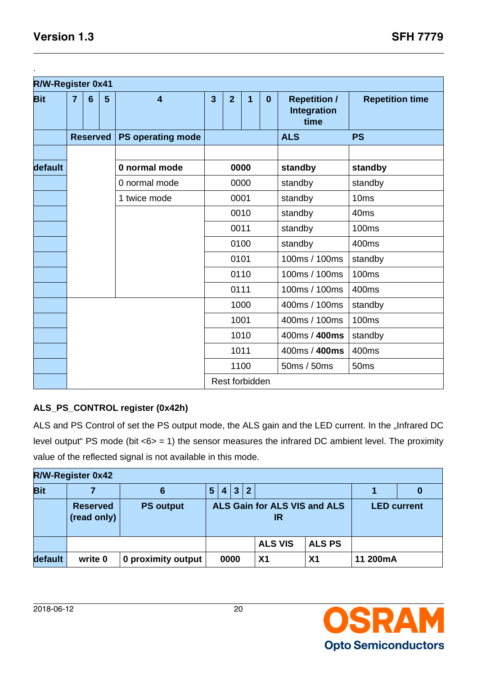.

| R/W-Register 0x41 |                |                 |                |                          |                |                |      |          |                                                   |                        |
|-------------------|----------------|-----------------|----------------|--------------------------|----------------|----------------|------|----------|---------------------------------------------------|------------------------|
| <b>Bit</b>        | $\overline{7}$ | $6\phantom{1}6$ | $5\phantom{.}$ | $\overline{\mathbf{4}}$  | $\overline{3}$ | $\overline{2}$ | 1    | $\bf{0}$ | <b>Repetition /</b><br><b>Integration</b><br>time | <b>Repetition time</b> |
|                   |                | <b>Reserved</b> |                | <b>PS operating mode</b> |                |                |      |          | <b>ALS</b>                                        | <b>PS</b>              |
|                   |                |                 |                |                          |                |                |      |          |                                                   |                        |
| default           |                |                 |                | 0 normal mode            |                |                | 0000 |          | standby                                           | standby                |
|                   |                |                 |                | 0 normal mode            |                |                | 0000 |          | standby                                           | standby                |
|                   |                |                 |                | 1 twice mode             |                | 0001           |      | standby  | 10 <sub>ms</sub>                                  |                        |
|                   |                |                 |                |                          |                | 0010           |      | standby  | 40 <sub>ms</sub>                                  |                        |
|                   |                |                 |                |                          |                | 0011           |      |          | standby                                           | <b>100ms</b>           |
|                   |                |                 |                |                          |                |                | 0100 |          | standby                                           | 400ms                  |
|                   |                |                 |                |                          |                |                | 0101 |          | 100ms / 100ms                                     | standby                |
|                   |                |                 |                |                          |                |                | 0110 |          | 100ms / 100ms                                     | <b>100ms</b>           |
|                   |                |                 |                |                          |                | 0111           |      |          | 100ms / 100ms                                     | 400ms                  |
|                   |                |                 |                |                          |                |                | 1000 |          | 400ms / 100ms                                     | standby                |
|                   |                |                 |                |                          |                |                | 1001 |          | 400ms / 100ms                                     | <b>100ms</b>           |
|                   |                |                 |                |                          |                |                | 1010 |          | 400ms / 400ms                                     | standby                |
|                   |                |                 |                |                          |                |                | 1011 |          | 400ms / 400ms                                     | 400ms                  |
|                   |                |                 |                |                          |                |                | 1100 |          | 50ms / 50ms                                       | 50ms                   |
|                   |                |                 |                |                          |                | Rest forbidden |      |          |                                                   |                        |

### **ALS\_PS\_CONTROL register (0x42h)**

ALS and PS Control of set the PS output mode, the ALS gain and the LED current. In the "Infrared DC level output" PS mode (bit  $<\,>6$  = 1) the sensor measures the infrared DC ambient level. The proximity value of the reflected signal is not available in this mode.

|            | <b>R/W-Register 0x42</b>       |                    |   |      |     |              |                                    |                |                    |  |
|------------|--------------------------------|--------------------|---|------|-----|--------------|------------------------------------|----------------|--------------------|--|
| <b>Bit</b> |                                | 6                  | 5 |      | 4 3 | $\mathbf{2}$ |                                    |                |                    |  |
|            | <b>Reserved</b><br>(read only) | <b>PS output</b>   |   |      |     |              | ALS Gain for ALS VIS and ALS<br>IR |                | <b>LED current</b> |  |
|            |                                |                    |   |      |     |              | <b>ALS VIS</b>                     | <b>ALS PS</b>  |                    |  |
| default    | write 0                        | 0 proximity output |   | 0000 |     |              | X <sub>1</sub>                     | X <sub>1</sub> | 11 200mA           |  |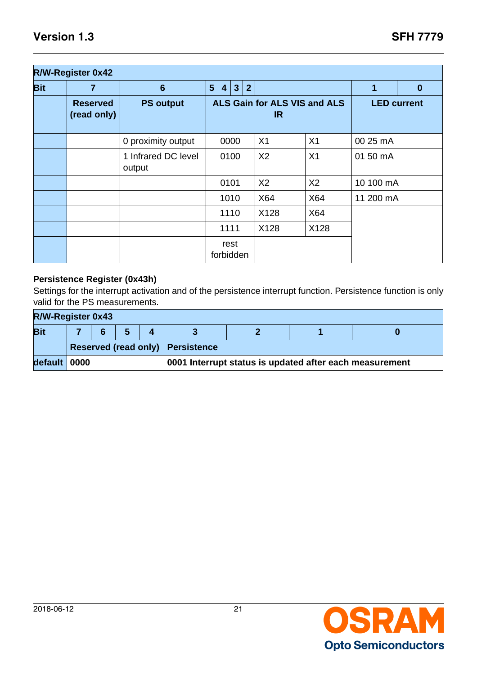|            | <b>R/W-Register 0x42</b>       |                               |   |                                     |              |                |                |                |           |                    |
|------------|--------------------------------|-------------------------------|---|-------------------------------------|--------------|----------------|----------------|----------------|-----------|--------------------|
| <b>Bit</b> | 7                              | $6\phantom{1}6$               | 5 | $\overline{4}$                      | $\mathbf{3}$ | $\overline{2}$ |                |                | 1         | $\boldsymbol{0}$   |
|            | <b>Reserved</b><br>(read only) | <b>PS output</b>              |   | ALS Gain for ALS VIS and ALS<br>IR. |              |                |                |                |           | <b>LED current</b> |
|            |                                | 0 proximity output            |   |                                     | 0000         |                | X <sub>1</sub> | X <sub>1</sub> | 00 25 mA  |                    |
|            |                                | 1 Infrared DC level<br>output |   |                                     | 0100         |                | X <sub>2</sub> | X <sub>1</sub> | 01 50 mA  |                    |
|            |                                |                               |   | 0101                                |              |                | X <sub>2</sub> | X <sub>2</sub> | 10 100 mA |                    |
|            |                                |                               |   |                                     | 1010         |                | X64            | X64            | 11 200 mA |                    |
|            |                                |                               |   |                                     | 1110         |                | X128           | X64            |           |                    |
|            |                                |                               |   | 1111                                |              |                | X128           | X128           |           |                    |
|            |                                |                               |   | forbidden                           | rest         |                |                |                |           |                    |

#### **Persistence Register (0x43h)**

Settings for the interrupt activation and of the persistence interrupt function. Persistence function is only valid for the PS measurements.

|              | <b>R/W-Register 0x43</b>                                |  |  |                                    |  |  |  |  |  |  |  |  |  |
|--------------|---------------------------------------------------------|--|--|------------------------------------|--|--|--|--|--|--|--|--|--|
| <b>Bit</b>   |                                                         |  |  |                                    |  |  |  |  |  |  |  |  |  |
|              |                                                         |  |  | Reserved (read only)   Persistence |  |  |  |  |  |  |  |  |  |
| default 0000 | 0001 Interrupt status is updated after each measurement |  |  |                                    |  |  |  |  |  |  |  |  |  |

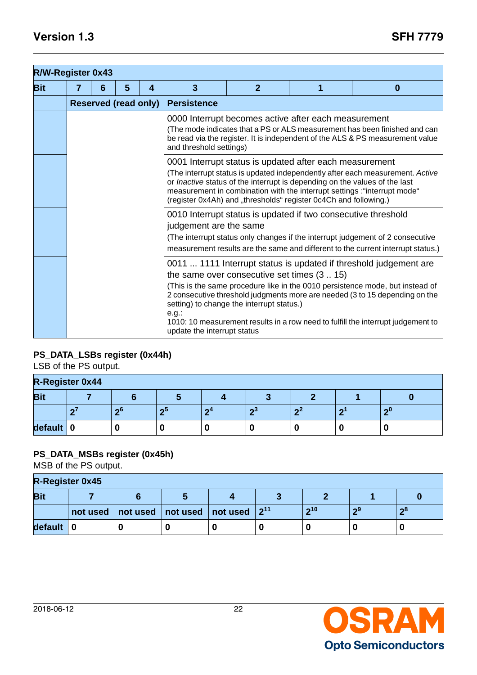| <b>R/W-Register 0x43</b> |   |   |                             |   |                                                                                                                                                                                                                                                                                                                                                                         |                                                                                                 |  |                                                                                                                                                                                                                                                                                                                       |  |  |  |  |  |  |  |
|--------------------------|---|---|-----------------------------|---|-------------------------------------------------------------------------------------------------------------------------------------------------------------------------------------------------------------------------------------------------------------------------------------------------------------------------------------------------------------------------|-------------------------------------------------------------------------------------------------|--|-----------------------------------------------------------------------------------------------------------------------------------------------------------------------------------------------------------------------------------------------------------------------------------------------------------------------|--|--|--|--|--|--|--|
| <b>Bit</b>               | 7 | 6 | 5                           | 4 | 3                                                                                                                                                                                                                                                                                                                                                                       | $\overline{2}$                                                                                  |  | $\bf{0}$                                                                                                                                                                                                                                                                                                              |  |  |  |  |  |  |  |
|                          |   |   | <b>Reserved (read only)</b> |   | <b>Persistence</b>                                                                                                                                                                                                                                                                                                                                                      |                                                                                                 |  |                                                                                                                                                                                                                                                                                                                       |  |  |  |  |  |  |  |
|                          |   |   |                             |   | 0000 Interrupt becomes active after each measurement<br>(The mode indicates that a PS or ALS measurement has been finished and can<br>be read via the register. It is independent of the ALS & PS measurement value<br>and threshold settings)                                                                                                                          |                                                                                                 |  |                                                                                                                                                                                                                                                                                                                       |  |  |  |  |  |  |  |
|                          |   |   |                             |   | 0001 Interrupt status is updated after each measurement<br>(The interrupt status is updated independently after each measurement. Active<br>or Inactive status of the interrupt is depending on the values of the last<br>measurement in combination with the interrupt settings : "interrupt mode"<br>(register 0x4Ah) and "thresholds" register 0c4Ch and following.) |                                                                                                 |  |                                                                                                                                                                                                                                                                                                                       |  |  |  |  |  |  |  |
|                          |   |   |                             |   | 0010 Interrupt status is updated if two consecutive threshold<br>judgement are the same<br>(The interrupt status only changes if the interrupt judgement of 2 consecutive<br>measurement results are the same and different to the current interrupt status.)                                                                                                           |                                                                                                 |  |                                                                                                                                                                                                                                                                                                                       |  |  |  |  |  |  |  |
|                          |   |   |                             |   | $e.g.$ :<br>update the interrupt status                                                                                                                                                                                                                                                                                                                                 | the same over consecutive set times $(3 \dots 15)$<br>setting) to change the interrupt status.) |  | 0011  1111 Interrupt status is updated if threshold judgement are<br>(This is the same procedure like in the 0010 persistence mode, but instead of<br>2 consecutive threshold judgments more are needed (3 to 15 depending on the<br>1010: 10 measurement results in a row need to fulfill the interrupt judgement to |  |  |  |  |  |  |  |

### **PS\_DATA\_LSBs register (0x44h)**

LSB of the PS output.

| <b>R-Register 0x44</b> |  |     |    |     |      |                |  |     |  |  |
|------------------------|--|-----|----|-----|------|----------------|--|-----|--|--|
| <b>Bit</b>             |  |     |    |     |      |                |  |     |  |  |
|                        |  | -66 | ഹാ | - 4 | - ഹ3 | $\mathbf{a}^2$ |  | -ი0 |  |  |
| default                |  |     |    |     |      |                |  |     |  |  |

### **PS\_DATA\_MSBs register (0x45h)**

MSB of the PS output.

|            | <b>R-Register 0x45</b> |  |                                                                    |  |  |     |     |      |  |  |  |
|------------|------------------------|--|--------------------------------------------------------------------|--|--|-----|-----|------|--|--|--|
| <b>Bit</b> |                        |  |                                                                    |  |  |     |     |      |  |  |  |
|            | not used               |  | $\setminus$   not used   not used   not used $\mid 2^{11} \rangle$ |  |  | 210 | ക്യ | - ი8 |  |  |  |
| default    |                        |  |                                                                    |  |  |     |     |      |  |  |  |

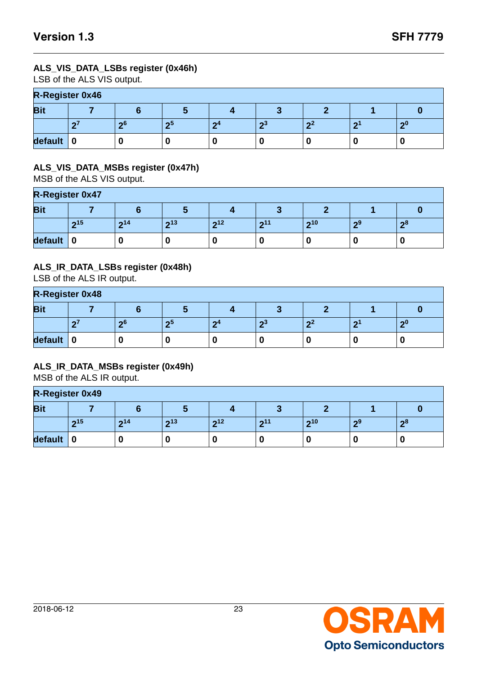#### **ALS\_VIS\_DATA\_LSBs register (0x46h)**

LSB of the ALS VIS output.

| <b>R-Register 0x46</b> |  |     |    |        |  |                |   |        |  |  |
|------------------------|--|-----|----|--------|--|----------------|---|--------|--|--|
| <b>Bit</b>             |  |     |    |        |  |                |   |        |  |  |
|                        |  | -ი6 | m: | $\sim$ |  | $\mathbf{a}^2$ | ◠ | $\sim$ |  |  |
| default                |  |     |    |        |  |                |   |        |  |  |

#### **ALS\_VIS\_DATA\_MSBs register (0x47h)**

MSB of the ALS VIS output.

|            | <b>R-Register 0x47</b> |     |        |                 |     |     |    |      |  |  |  |
|------------|------------------------|-----|--------|-----------------|-----|-----|----|------|--|--|--|
| <b>Bit</b> |                        |     |        |                 |     |     |    |      |  |  |  |
|            | 215                    | 214 | າ $13$ | 2 <sup>12</sup> | 211 | 210 | ം9 | - റ8 |  |  |  |
| default    |                        |     | υ      |                 | U   |     | O  |      |  |  |  |

#### **ALS\_IR\_DATA\_LSBs register (0x48h)**

LSB of the ALS IR output.

|            | <b>R-Register 0x48</b> |     |    |     |   |      |  |   |  |  |  |
|------------|------------------------|-----|----|-----|---|------|--|---|--|--|--|
| <b>Bit</b> |                        |     |    |     |   |      |  |   |  |  |  |
|            |                        | .പെ | ഹാ | - 4 | ഹ | - 24 |  | ച |  |  |  |
| default    |                        |     |    |     |   |      |  |   |  |  |  |

#### **ALS\_IR\_DATA\_MSBs register (0x49h)**

MSB of the ALS IR output.

### **R-Register 0x49**

|            | ____             |     |     |     |     |     |     |    |  |  |  |  |
|------------|------------------|-----|-----|-----|-----|-----|-----|----|--|--|--|--|
| <b>Bit</b> |                  |     |     |     |     |     |     |    |  |  |  |  |
|            | 215              | 214 | 213 | 212 | 211 | 210 | - വ | າ8 |  |  |  |  |
| default    | $\boldsymbol{0}$ |     | 0   |     |     |     | 0   |    |  |  |  |  |

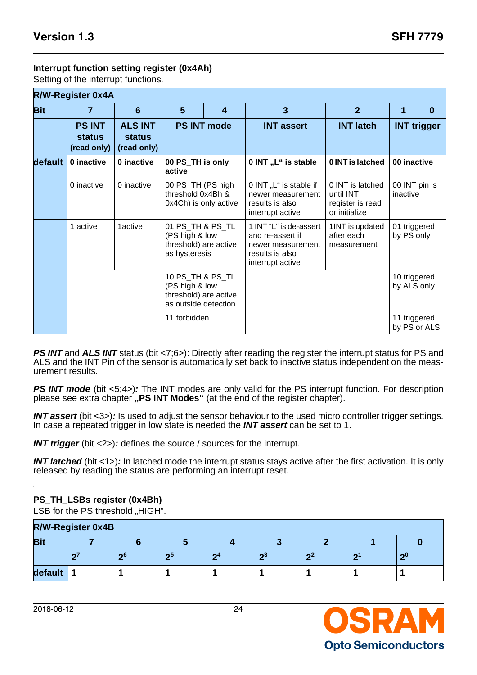#### **Interrupt function setting register (0x4Ah)**

Setting of the interrupt functions.

|            | <b>R/W-Register 0x4A</b>                      |                                                |                                                                                     |                                         |                                                                                                        |                                                                    |                              |                    |
|------------|-----------------------------------------------|------------------------------------------------|-------------------------------------------------------------------------------------|-----------------------------------------|--------------------------------------------------------------------------------------------------------|--------------------------------------------------------------------|------------------------------|--------------------|
| <b>Bit</b> | 7                                             | $6\phantom{1}$                                 | 5                                                                                   | $\boldsymbol{4}$                        | $\overline{3}$                                                                                         | $\overline{2}$                                                     | 1                            | $\bf{0}$           |
|            | <b>PS INT</b><br><b>status</b><br>(read only) | <b>ALS INT</b><br><b>status</b><br>(read only) |                                                                                     | <b>PS INT mode</b><br><b>INT assert</b> |                                                                                                        | <b>INT latch</b>                                                   |                              | <b>INT trigger</b> |
| default    | 0 inactive                                    | 0 inactive                                     | 00 PS_TH is only<br>active                                                          |                                         | 0 INT "L" is stable                                                                                    | 0 INT is latched                                                   | 00 inactive                  |                    |
|            | 0 inactive                                    | 0 inactive                                     | 00 PS_TH (PS high<br>threshold 0x4Bh &<br>0x4Ch) is only active                     |                                         | 0 INT "L" is stable if<br>newer measurement<br>results is also<br>interrupt active                     | 0 INT is latched<br>until INT<br>register is read<br>or initialize | 00 INT pin is<br>inactive    |                    |
|            | 1 active                                      | 1active                                        | 01 PS TH & PS TL<br>(PS high & low<br>threshold) are active<br>as hysteresis        |                                         | 1 INT "L" is de-assert<br>and re-assert if<br>newer measurement<br>results is also<br>interrupt active | 1INT is updated<br>after each<br>measurement                       | 01 triggered<br>by PS only   |                    |
|            |                                               |                                                | 10 PS TH & PS TL<br>(PS high & low<br>threshold) are active<br>as outside detection |                                         |                                                                                                        |                                                                    | 10 triggered<br>by ALS only  |                    |
|            |                                               |                                                | 11 forbidden                                                                        |                                         |                                                                                                        |                                                                    | 11 triggered<br>by PS or ALS |                    |

**PS INT** and ALS INT status (bit <7;6>): Directly after reading the register the interrupt status for PS and ALS and the INT Pin of the sensor is automatically set back to inactive status independent on the measurement results.

**PS INT mode** (bit <5;4>): The INT modes are only valid for the PS interrupt function. For description please see extra chapter **"PS INT Modes"** (at the end of the register chapter).

**INT assert** (bit <3>)**:** Is used to adjust the sensor behaviour to the used micro controller trigger settings. In case a repeated trigger in low state is needed the **INT assert** can be set to 1.

**INT trigger** (bit <2>): defines the source / sources for the interrupt.

**INT latched** (bit <1>)**:** In latched mode the interrupt status stays active after the first activation. It is only released by reading the status are performing an interrupt reset.

#### **PS\_TH\_LSBs register (0x4Bh)**

LSB for the PS threshold "HIGH".

| <b>R/W-Register 0x4B</b> |                                                  |  |  |  |  |  |  |  |  |  |  |
|--------------------------|--------------------------------------------------|--|--|--|--|--|--|--|--|--|--|
| <b>Bit</b>               |                                                  |  |  |  |  |  |  |  |  |  |  |
|                          | -ი6<br>ച<br>$\sim$<br>$\sim$<br>$\sim$<br>$\sim$ |  |  |  |  |  |  |  |  |  |  |
| default                  |                                                  |  |  |  |  |  |  |  |  |  |  |



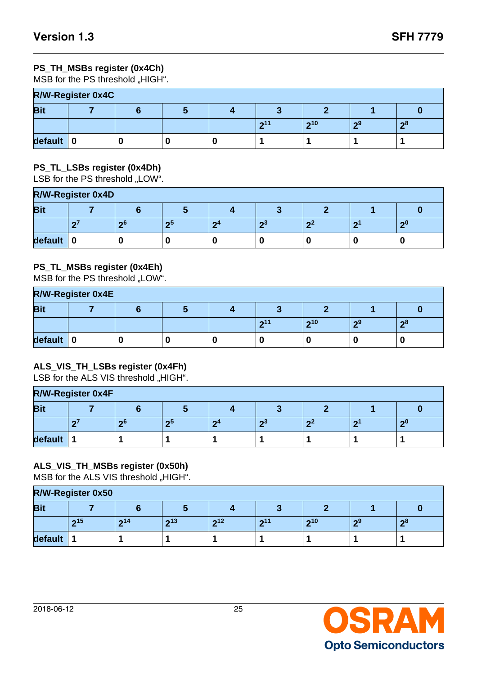### **PS\_TH\_MSBs register (0x4Ch)**

MSB for the PS threshold "HIGH".

| <b>R/W-Register 0x4C</b> |  |  |  |  |     |     |     |     |  |  |  |
|--------------------------|--|--|--|--|-----|-----|-----|-----|--|--|--|
| <b>Bit</b>               |  |  |  |  |     |     |     |     |  |  |  |
|                          |  |  |  |  | 211 | 210 | -ი9 | -ი8 |  |  |  |
| default                  |  |  |  |  |     |     |     |     |  |  |  |

#### **PS\_TL\_LSBs register (0x4Dh)**

LSB for the PS threshold "LOW".

| <b>R/W-Register 0x4D</b> |  |     |      |    |       |              |        |  |  |  |  |
|--------------------------|--|-----|------|----|-------|--------------|--------|--|--|--|--|
| <b>Bit</b>               |  |     |      |    |       |              |        |  |  |  |  |
|                          |  | -ი6 | - 65 | 64 | - 100 | $\mathbf{A}$ | $\sim$ |  |  |  |  |
| default                  |  |     |      |    |       |              |        |  |  |  |  |

#### **PS\_TL\_MSBs register (0x4Eh)**

MSB for the PS threshold "LOW".

| <b>R/W-Register 0x4E</b> |  |  |  |  |     |     |     |                |  |  |  |
|--------------------------|--|--|--|--|-----|-----|-----|----------------|--|--|--|
| <b>Bit</b><br>$\sim$     |  |  |  |  |     |     |     |                |  |  |  |
|                          |  |  |  |  | 211 | 210 | -ი9 | $\mathbf{R}^8$ |  |  |  |
| default                  |  |  |  |  |     |     |     |                |  |  |  |

#### **ALS\_VIS\_TH\_LSBs register (0x4Fh)**

LSB for the ALS VIS threshold "HIGH".

| <b>R/W-Register 0x4F</b> |  |    |      |   |    |                  |  |   |  |  |  |
|--------------------------|--|----|------|---|----|------------------|--|---|--|--|--|
| <b>Bit</b>               |  |    |      |   |    |                  |  |   |  |  |  |
|                          |  | 26 | - 65 | ິ | m. | <b>Secure 19</b> |  | ഹ |  |  |  |
| default                  |  |    |      |   |    |                  |  |   |  |  |  |

### **ALS\_VIS\_TH\_MSBs register (0x50h)**

MSB for the ALS VIS threshold "HIGH".

| <b>R/W-Register 0x50</b> |     |     |     |     |     |        |     |      |  |  |  |
|--------------------------|-----|-----|-----|-----|-----|--------|-----|------|--|--|--|
| <b>Bit</b><br>œ          |     |     |     |     |     |        |     |      |  |  |  |
|                          | 215 | 214 | 213 | 212 | 211 | າ $10$ | . എ | - റ8 |  |  |  |
| default                  |     |     |     |     |     |        |     |      |  |  |  |

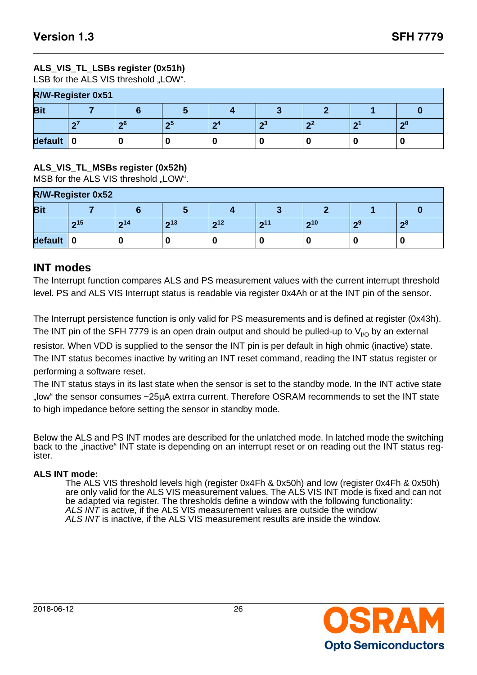### **ALS\_VIS\_TL\_LSBs register (0x51h)**

LSB for the ALS VIS threshold "LOW".

| <b>R/W-Register 0x51</b> |  |     |    |        |   |     |           |     |  |  |
|--------------------------|--|-----|----|--------|---|-----|-----------|-----|--|--|
| <b>Bit</b>               |  |     |    |        |   |     |           |     |  |  |
|                          |  | -ი6 | ഹാ | $\sim$ | ഹ | - 2 | $\bullet$ | - 0 |  |  |
| default                  |  |     |    |        |   |     |           |     |  |  |

#### **ALS\_VIS\_TL\_MSBs register (0x52h)**

MSB for the ALS VIS threshold "LOW".

| <b>R/W-Register 0x52</b> |        |     |     |     |     |     |     |   |  |  |  |
|--------------------------|--------|-----|-----|-----|-----|-----|-----|---|--|--|--|
| <b>Bit</b>               |        |     |     |     |     |     |     |   |  |  |  |
|                          | າ $15$ | 214 | 213 | 212 | 211 | 210 | . പ | ഹ |  |  |  |
| default                  |        |     |     |     |     |     |     |   |  |  |  |

### **INT modes**

The Interrupt function compares ALS and PS measurement values with the current interrupt threshold level. PS and ALS VIS Interrupt status is readable via register 0x4Ah or at the INT pin of the sensor.

The Interrupt persistence function is only valid for PS measurements and is defined at register (0x43h). The INT pin of the SFH 7779 is an open drain output and should be pulled-up to  $V_{1/0}$  by an external resistor. When VDD is supplied to the sensor the INT pin is per default in high ohmic (inactive) state. The INT status becomes inactive by writing an INT reset command, reading the INT status register or performing a software reset.

The INT status stays in its last state when the sensor is set to the standby mode. In the INT active state "low" the sensor consumes ~25µA extrra current. Therefore OSRAM recommends to set the INT state to high impedance before setting the sensor in standby mode.

Below the ALS and PS INT modes are described for the unlatched mode. In latched mode the switching back to the "inactive" INT state is depending on an interrupt reset or on reading out the INT status register.

#### **ALS INT mode:**

The ALS VIS threshold levels high (register 0x4Fh & 0x50h) and low (register 0x4Fh & 0x50h) are only valid for the ALS VIS measurement values. The ALS VIS INT mode is fixed and can not be adapted via register. The thresholds define a window with the following functionality: ALS INT is active, if the ALS VIS measurement values are outside the window ALS INT is inactive, if the ALS VIS measurement results are inside the window.

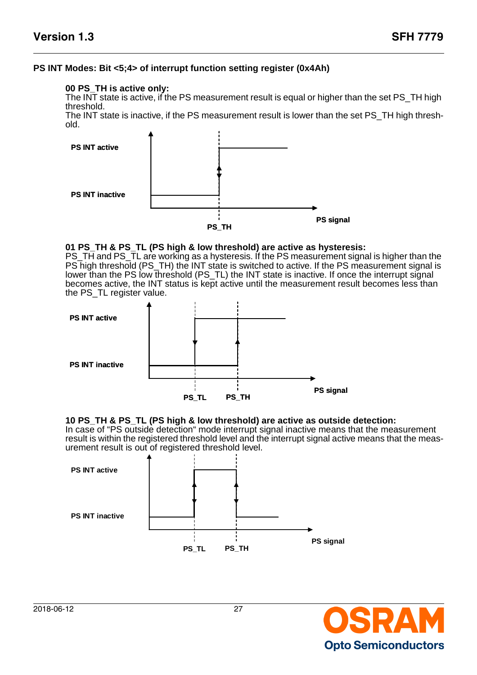#### **PS INT Modes: Bit <5;4> of interrupt function setting register (0x4Ah)**

#### **00 PS\_TH is active only:**

The INT state is active, if the PS measurement result is equal or higher than the set PS\_TH high threshold.

The INT state is inactive, if the PS measurement result is lower than the set PS\_TH high threshold.



#### **01 PS\_TH & PS\_TL (PS high & low threshold) are active as hysteresis:**

PS\_TH and PS\_TL are working as a hysteresis. If the PS measurement signal is higher than the PS high threshold (PS\_TH) the INT state is switched to active. If the PS measurement signal is lower than the PS low threshold (PS\_TL) the INT state is inactive. If once the interrupt signal becomes active, the INT status is kept active until the measurement result becomes less than the PS\_TL register value.



#### **10 PS\_TH & PS\_TL (PS high & low threshold) are active as outside detection:**

In case of "PS outside detection" mode interrupt signal inactive means that the measurement result is within the registered threshold level and the interrupt signal active means that the measurement result is out of registered threshold level.



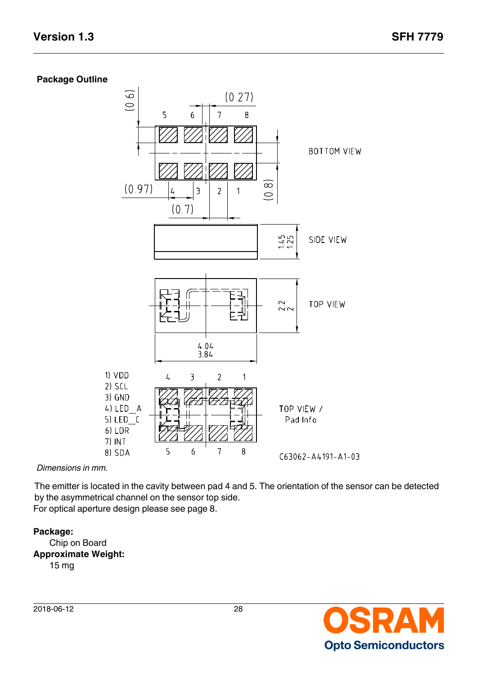#### **Package Outline**



*Dimensions in mm.*

The emitter is located in the cavity between pad 4 and 5. The orientation of the sensor can be detected by the asymmetrical channel on the sensor top side. For optical aperture design please see page 8.

#### **Package:**

Chip on Board **Approximate Weight:**  15 mg

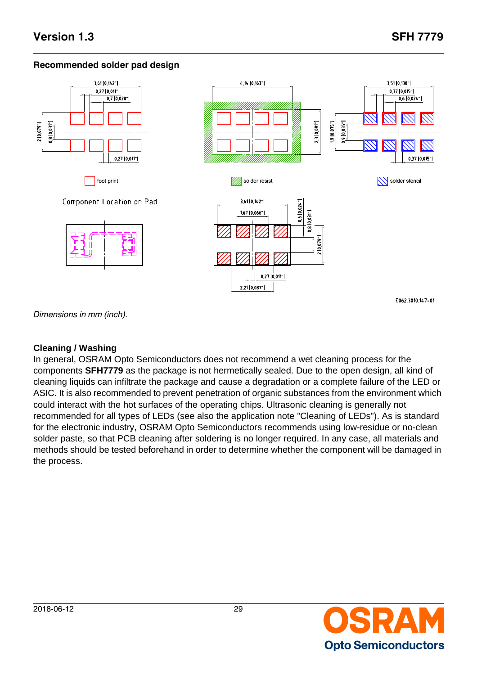### **Recommended solder pad design**



Component Location on Pad





E062 3010 147-01

*Dimensions in mm (inch).*

### **Cleaning / Washing**

In general, OSRAM Opto Semiconductors does not recommend a wet cleaning process for the components **SFH7779** as the package is not hermetically sealed. Due to the open design, all kind of cleaning liquids can infiltrate the package and cause a degradation or a complete failure of the LED or ASIC. It is also recommended to prevent penetration of organic substances from the environment which could interact with the hot surfaces of the operating chips. Ultrasonic cleaning is generally not recommended for all types of LEDs (see also the application note "Cleaning of LEDs"). As is standard for the electronic industry, OSRAM Opto Semiconductors recommends using low-residue or no-clean solder paste, so that PCB cleaning after soldering is no longer required. In any case, all materials and methods should be tested beforehand in order to determine whether the component will be damaged in the process.

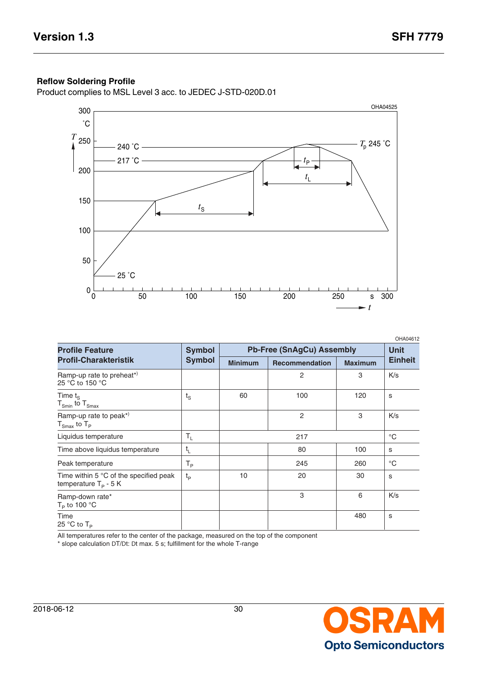$\overline{a}$ 

#### **Reflow Soldering Profile**

Product complies to MSL Level 3 acc. to JEDEC J-STD-020D.01



| <b>Profile Feature</b>                                                           | <b>Symbol</b>  |                | <b>Pb-Free (SnAgCu) Assembly</b> |                | <b>Unit</b>       |
|----------------------------------------------------------------------------------|----------------|----------------|----------------------------------|----------------|-------------------|
| <b>Profil-Charakteristik</b>                                                     | <b>Symbol</b>  | <b>Minimum</b> | <b>Recommendation</b>            | <b>Maximum</b> | <b>Einheit</b>    |
| Ramp-up rate to preheat*)<br>25 °C to 150 °C                                     |                |                | 2                                | 3              | K/s               |
| Time $t_{\rm s}$<br>$T_{Smin}$ to $T_{Smax}$                                     | $t_{\rm S}$    | 60             | 100                              | 120            | S                 |
| Ramp-up rate to peak*)<br>$T_{Smax}$ to $T_P$                                    |                |                | $\overline{2}$                   | 3              | K/s               |
| Liquidus temperature                                                             | $T_{L}$        |                | 217                              |                | $^{\circ}{\rm C}$ |
| Time above liquidus temperature                                                  | $t_{L}$        |                | 80                               | 100            | S                 |
| Peak temperature                                                                 | T <sub>P</sub> |                | 245                              | 260            | $^{\circ}C$       |
| Time within 5 $\degree$ C of the specified peak<br>temperature $T_{\rm p}$ - 5 K | $t_{\rm p}$    | 10             | 20                               | 30             | S                 |
| Ramp-down rate*<br>$T_{\rm p}$ to 100 °C                                         |                |                | 3                                | 6              | K/s               |
| Time<br>25 °C to $T_P$                                                           |                |                |                                  | 480            | S                 |

All temperatures refer to the center of the package, measured on the top of the component

\* slope calculation DT/Dt: Dt max. 5 s; fulfillment for the whole T-range

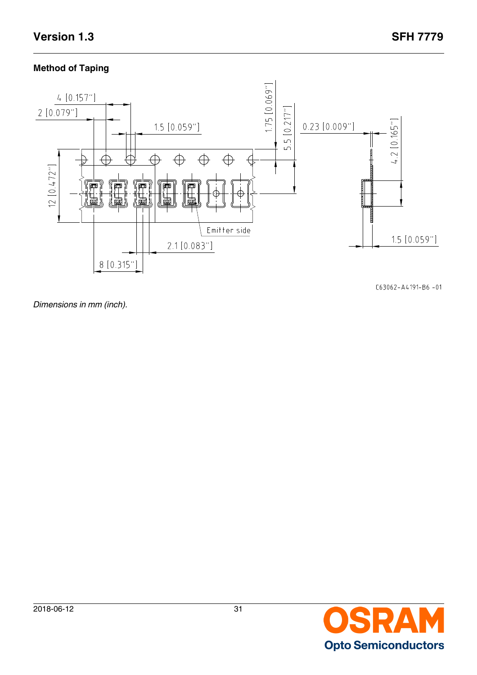### **Method of Taping**



 $C63062 - A4191 - B6 - 01$ 

*Dimensions in mm (inch).*

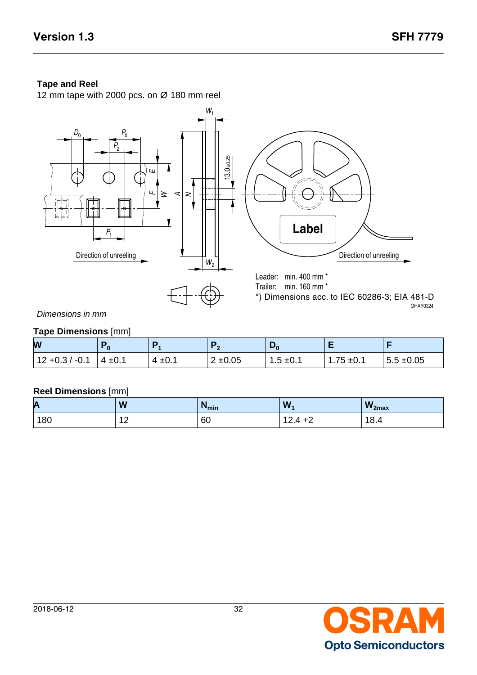### **Tape and Reel**

12 mm tape with 2000 pcs. on ∅ 180 mm reel



Dimensions in mm

#### **Tape Dimensions** [mm]

| W                 |             |             |                      | ്റ            |                |                |  |  |  |  |
|-------------------|-------------|-------------|----------------------|---------------|----------------|----------------|--|--|--|--|
| $12 + 0.3 / -0.1$ | $4 \pm 0.1$ | $4 \pm 0.1$ | $2 + 0.05$<br>$\sim$ | $1.5 \pm 0.1$ | $1.75 \pm 0.1$ | $5.5 \pm 0.05$ |  |  |  |  |

#### **Reel Dimensions** [mm]

| A   | W                    | <b>I</b> min | W,                   | $W_{2max}$ |
|-----|----------------------|--------------|----------------------|------------|
| 180 | $\sim$<br><u>  L</u> | 60           | $124 + 2$<br>ᅚᄼ<br>. | 18.4       |

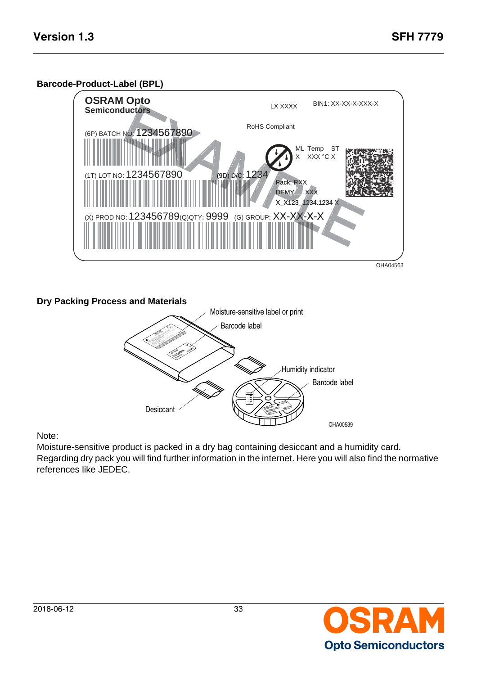#### **Barcode-Product-Label (BPL)**



#### **Dry Packing Process and Materials**



### Note:

Moisture-sensitive product is packed in a dry bag containing desiccant and a humidity card. Regarding dry pack you will find further information in the internet. Here you will also find the normative references like JEDEC.

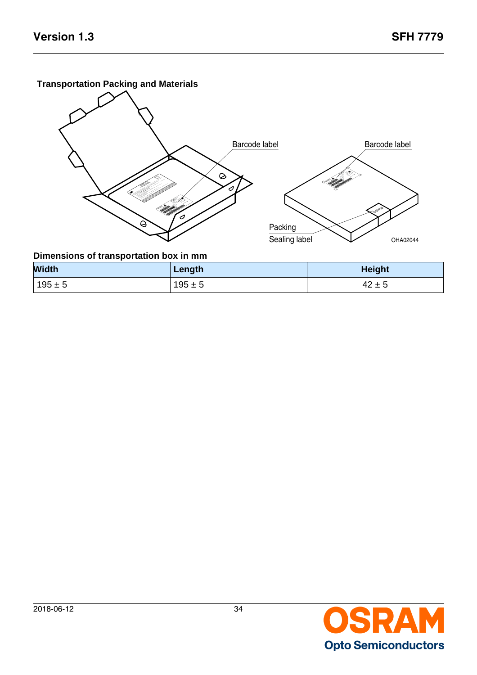### **Transportation Packing and Materials**



| <b>Width</b> | Length      | <b>Height</b> |
|--------------|-------------|---------------|
| $195 \pm 5$  | $195 \pm 5$ | $42 \pm 5$    |